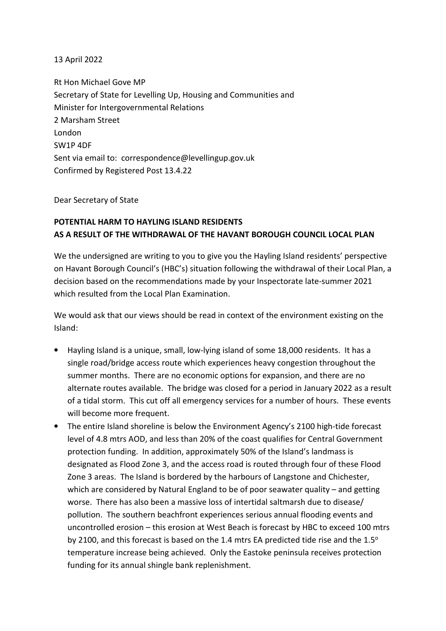## 13 April 2022

Rt Hon Michael Gove MP Secretary of State for Levelling Up, Housing and Communities and Minister for Intergovernmental Relations 2 Marsham Street London SW1P 4DF Sent via email to: correspondence@levellingup.gov.uk Confirmed by Registered Post 13.4.22

## Dear Secretary of State

## **POTENTIAL HARM TO HAYLING ISLAND RESIDENTS AS A RESULT OF THE WITHDRAWAL OF THE HAVANT BOROUGH COUNCIL LOCAL PLAN**

We the undersigned are writing to you to give you the Hayling Island residents' perspective on Havant Borough Council's (HBC's) situation following the withdrawal of their Local Plan, a decision based on the recommendations made by your Inspectorate late-summer 2021 which resulted from the Local Plan Examination.

We would ask that our views should be read in context of the environment existing on the Island:

- Hayling Island is a unique, small, low-lying island of some 18,000 residents. It has a single road/bridge access route which experiences heavy congestion throughout the summer months. There are no economic options for expansion, and there are no alternate routes available. The bridge was closed for a period in January 2022 as a result of a tidal storm. This cut off all emergency services for a number of hours. These events will become more frequent.
- The entire Island shoreline is below the Environment Agency's 2100 high-tide forecast level of 4.8 mtrs AOD, and less than 20% of the coast qualifies for Central Government protection funding. In addition, approximately 50% of the Island's landmass is designated as Flood Zone 3, and the access road is routed through four of these Flood Zone 3 areas. The Island is bordered by the harbours of Langstone and Chichester, which are considered by Natural England to be of poor seawater quality – and getting worse. There has also been a massive loss of intertidal saltmarsh due to disease/ pollution. The southern beachfront experiences serious annual flooding events and uncontrolled erosion – this erosion at West Beach is forecast by HBC to exceed 100 mtrs by 2100, and this forecast is based on the 1.4 mtrs EA predicted tide rise and the  $1.5^{\circ}$ temperature increase being achieved. Only the Eastoke peninsula receives protection funding for its annual shingle bank replenishment.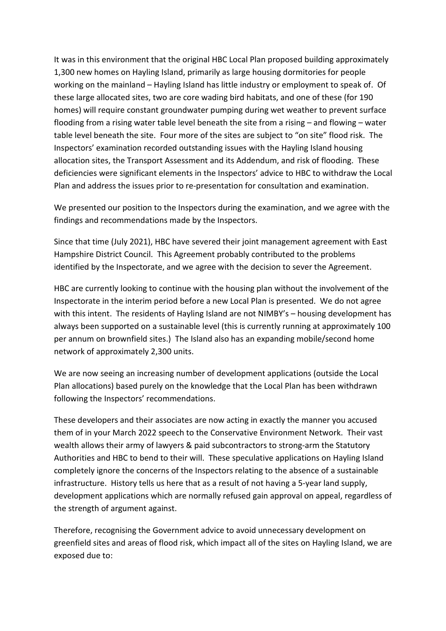It was in this environment that the original HBC Local Plan proposed building approximately 1,300 new homes on Hayling Island, primarily as large housing dormitories for people working on the mainland – Hayling Island has little industry or employment to speak of. Of these large allocated sites, two are core wading bird habitats, and one of these (for 190 homes) will require constant groundwater pumping during wet weather to prevent surface flooding from a rising water table level beneath the site from a rising – and flowing – water table level beneath the site. Four more of the sites are subject to "on site" flood risk. The Inspectors' examination recorded outstanding issues with the Hayling Island housing allocation sites, the Transport Assessment and its Addendum, and risk of flooding. These deficiencies were significant elements in the Inspectors' advice to HBC to withdraw the Local Plan and address the issues prior to re-presentation for consultation and examination.

We presented our position to the Inspectors during the examination, and we agree with the findings and recommendations made by the Inspectors.

Since that time (July 2021), HBC have severed their joint management agreement with East Hampshire District Council. This Agreement probably contributed to the problems identified by the Inspectorate, and we agree with the decision to sever the Agreement.

HBC are currently looking to continue with the housing plan without the involvement of the Inspectorate in the interim period before a new Local Plan is presented. We do not agree with this intent. The residents of Hayling Island are not NIMBY's - housing development has always been supported on a sustainable level (this is currently running at approximately 100 per annum on brownfield sites.) The Island also has an expanding mobile/second home network of approximately 2,300 units.

We are now seeing an increasing number of development applications (outside the Local Plan allocations) based purely on the knowledge that the Local Plan has been withdrawn following the Inspectors' recommendations.

These developers and their associates are now acting in exactly the manner you accused them of in your March 2022 speech to the Conservative Environment Network. Their vast wealth allows their army of lawyers & paid subcontractors to strong-arm the Statutory Authorities and HBC to bend to their will. These speculative applications on Hayling Island completely ignore the concerns of the Inspectors relating to the absence of a sustainable infrastructure. History tells us here that as a result of not having a 5-year land supply, development applications which are normally refused gain approval on appeal, regardless of the strength of argument against.

Therefore, recognising the Government advice to avoid unnecessary development on greenfield sites and areas of flood risk, which impact all of the sites on Hayling Island, we are exposed due to: